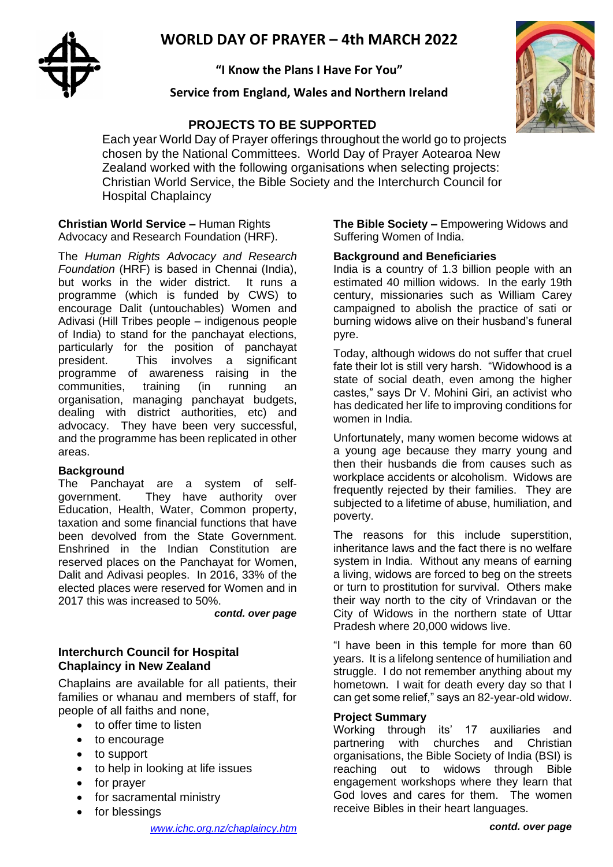# **WORLD DAY OF PRAYER – 4th MARCH 2022**



**"I Know the Plans I Have For You"**

# **Service from England, Wales and Northern Ireland**

# **PROJECTS TO BE SUPPORTED**



Each year World Day of Prayer offerings throughout the world go to projects chosen by the National Committees. World Day of Prayer Aotearoa New Zealand worked with the following organisations when selecting projects: Christian World Service, the Bible Society and the Interchurch Council for Hospital Chaplaincy

#### **Christian World Service –** Human Rights Advocacy and Research Foundation (HRF).

The *Human Rights Advocacy and Research Foundation* (HRF) is based in Chennai (India), but works in the wider district. It runs a programme (which is funded by CWS) to encourage Dalit (untouchables) Women and Adivasi (Hill Tribes people – indigenous people of India) to stand for the panchayat elections, particularly for the position of panchayat president. This involves a significant programme of awareness raising in the communities, training (in running an organisation, managing panchayat budgets, dealing with district authorities, etc) and advocacy. They have been very successful, and the programme has been replicated in other areas.

#### **Background**

The Panchayat are a system of selfgovernment. They have authority over Education, Health, Water, Common property, taxation and some financial functions that have been devolved from the State Government. Enshrined in the Indian Constitution are reserved places on the Panchayat for Women, Dalit and Adivasi peoples. In 2016, 33% of the elected places were reserved for Women and in 2017 this was increased to 50%.

*contd. over page*

## **Interchurch Council for Hospital Chaplaincy in New Zealand**

Chaplains are available for all patients, their families or whanau and members of staff, for people of all faiths and none,

- to offer time to listen
- to encourage
- to support
- to help in looking at life issues
- for prayer
- for sacramental ministry
- for blessings

*[www.ichc.org.nz/chaplaincy.htm](http://www.ichc.org.nz/chaplaincy.htm)*

**The Bible Society –** Empowering Widows and Suffering Women of India.

### **Background and Beneficiaries**

India is a country of 1.3 billion people with an estimated 40 million widows. In the early 19th century, missionaries such as William Carey campaigned to abolish the practice of sati or burning widows alive on their husband's funeral pyre.

Today, although widows do not suffer that cruel fate their lot is still very harsh. "Widowhood is a state of social death, even among the higher castes," says Dr V. Mohini Giri, an activist who has dedicated her life to improving conditions for women in India.

Unfortunately, many women become widows at a young age because they marry young and then their husbands die from causes such as workplace accidents or alcoholism. Widows are frequently rejected by their families. They are subjected to a lifetime of abuse, humiliation, and poverty.

The reasons for this include superstition, inheritance laws and the fact there is no welfare system in India. Without any means of earning a living, widows are forced to beg on the streets or turn to prostitution for survival. Others make their way north to the city of Vrindavan or the City of Widows in the northern state of Uttar Pradesh where 20,000 widows live.

"I have been in this temple for more than 60 years. It is a lifelong sentence of humiliation and struggle. I do not remember anything about my hometown. I wait for death every day so that I can get some relief," says an 82-year-old widow.

## **Project Summary**

Working through its' 17 auxiliaries and partnering with churches and Christian organisations, the Bible Society of India (BSI) is reaching out to widows through Bible engagement workshops where they learn that God loves and cares for them. The women receive Bibles in their heart languages.